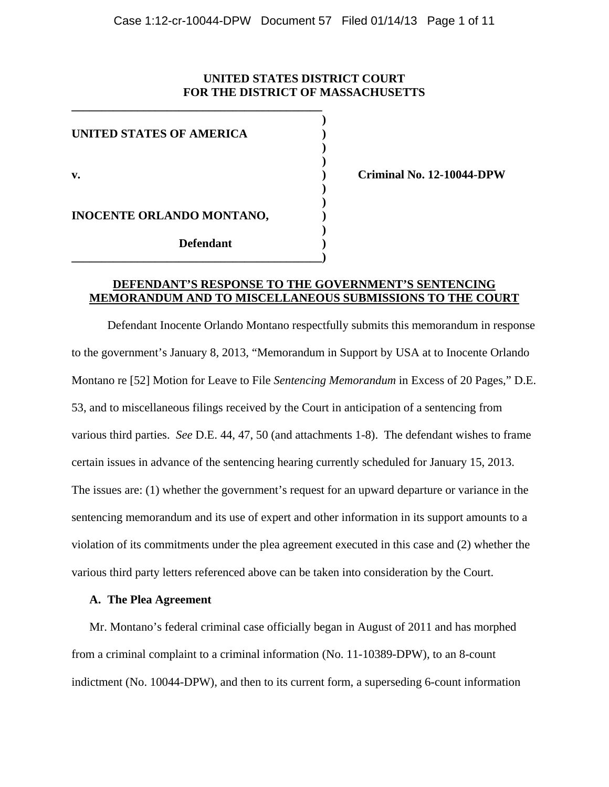## **UNITED STATES DISTRICT COURT FOR THE DISTRICT OF MASSACHUSETTS**

| <b>UNITED STATES OF AMERICA</b> |  |
|---------------------------------|--|
| v.                              |  |
| INOCENTE ORLANDO MONTANO,       |  |
| <b>Defendant</b>                |  |

**\_\_\_\_\_\_\_\_\_\_\_\_\_\_\_\_\_\_\_\_\_\_\_\_\_\_\_\_\_\_\_\_\_\_\_\_\_\_\_\_\_\_** 

**v. ) Criminal No. 12-10044-DPW** 

# **DEFENDANT'S RESPONSE TO THE GOVERNMENT'S SENTENCING MEMORANDUM AND TO MISCELLANEOUS SUBMISSIONS TO THE COURT**

Defendant Inocente Orlando Montano respectfully submits this memorandum in response to the government's January 8, 2013, "Memorandum in Support by USA at to Inocente Orlando Montano re [52] Motion for Leave to File *Sentencing Memorandum* in Excess of 20 Pages," D.E. 53, and to miscellaneous filings received by the Court in anticipation of a sentencing from various third parties. *See* D.E. 44, 47, 50 (and attachments 1-8). The defendant wishes to frame certain issues in advance of the sentencing hearing currently scheduled for January 15, 2013. The issues are: (1) whether the government's request for an upward departure or variance in the sentencing memorandum and its use of expert and other information in its support amounts to a violation of its commitments under the plea agreement executed in this case and (2) whether the various third party letters referenced above can be taken into consideration by the Court.

### **A. The Plea Agreement**

Mr. Montano's federal criminal case officially began in August of 2011 and has morphed from a criminal complaint to a criminal information (No. 11-10389-DPW), to an 8-count indictment (No. 10044-DPW), and then to its current form, a superseding 6-count information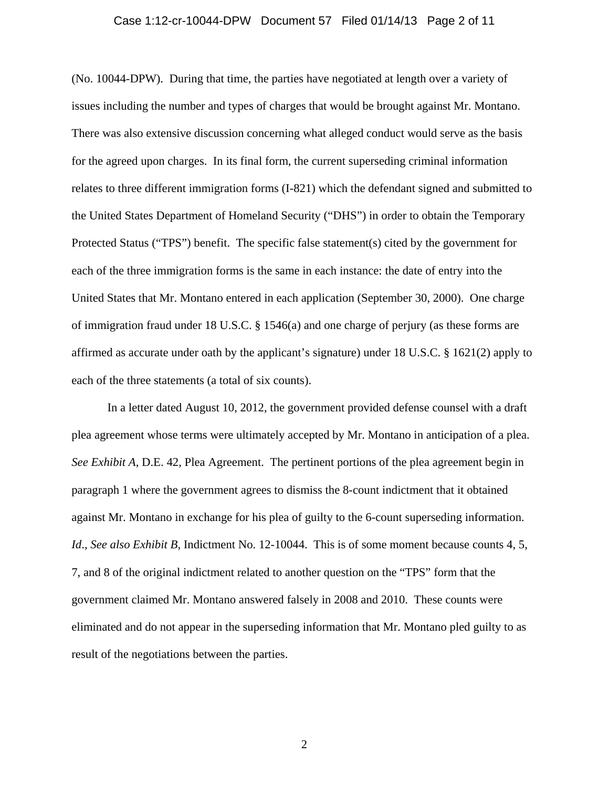#### Case 1:12-cr-10044-DPW Document 57 Filed 01/14/13 Page 2 of 11

(No. 10044-DPW). During that time, the parties have negotiated at length over a variety of issues including the number and types of charges that would be brought against Mr. Montano. There was also extensive discussion concerning what alleged conduct would serve as the basis for the agreed upon charges. In its final form, the current superseding criminal information relates to three different immigration forms (I-821) which the defendant signed and submitted to the United States Department of Homeland Security ("DHS") in order to obtain the Temporary Protected Status ("TPS") benefit. The specific false statement(s) cited by the government for each of the three immigration forms is the same in each instance: the date of entry into the United States that Mr. Montano entered in each application (September 30, 2000). One charge of immigration fraud under 18 U.S.C. § 1546(a) and one charge of perjury (as these forms are affirmed as accurate under oath by the applicant's signature) under 18 U.S.C. § 1621(2) apply to each of the three statements (a total of six counts).

 In a letter dated August 10, 2012, the government provided defense counsel with a draft plea agreement whose terms were ultimately accepted by Mr. Montano in anticipation of a plea. *See Exhibit A*, D.E. 42, Plea Agreement. The pertinent portions of the plea agreement begin in paragraph 1 where the government agrees to dismiss the 8-count indictment that it obtained against Mr. Montano in exchange for his plea of guilty to the 6-count superseding information. *Id*., *See also Exhibit B,* Indictment No. 12-10044. This is of some moment because counts 4, 5, 7, and 8 of the original indictment related to another question on the "TPS" form that the government claimed Mr. Montano answered falsely in 2008 and 2010. These counts were eliminated and do not appear in the superseding information that Mr. Montano pled guilty to as result of the negotiations between the parties.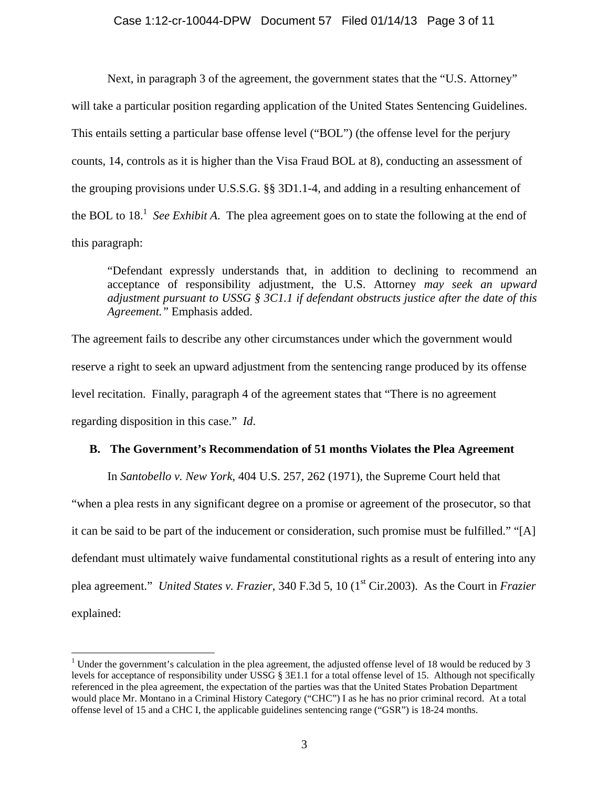Next, in paragraph 3 of the agreement, the government states that the "U.S. Attorney" will take a particular position regarding application of the United States Sentencing Guidelines. This entails setting a particular base offense level ("BOL") (the offense level for the perjury counts, 14, controls as it is higher than the Visa Fraud BOL at 8), conducting an assessment of the grouping provisions under U.S.S.G. §§ 3D1.1-4, and adding in a resulting enhancement of the BOL to 18.<sup>1</sup> See Exhibit A. The plea agreement goes on to state the following at the end of this paragraph:

"Defendant expressly understands that, in addition to declining to recommend an acceptance of responsibility adjustment, the U.S. Attorney *may seek an upward adjustment pursuant to USSG § 3C1.1 if defendant obstructs justice after the date of this Agreement."* Emphasis added.

The agreement fails to describe any other circumstances under which the government would reserve a right to seek an upward adjustment from the sentencing range produced by its offense level recitation. Finally, paragraph 4 of the agreement states that "There is no agreement regarding disposition in this case." *Id*.

## **B. The Government's Recommendation of 51 months Violates the Plea Agreement**

In *Santobello v. New York*, 404 U.S. 257, 262 (1971), the Supreme Court held that

"when a plea rests in any significant degree on a promise or agreement of the prosecutor, so that it can be said to be part of the inducement or consideration, such promise must be fulfilled." "[A] defendant must ultimately waive fundamental constitutional rights as a result of entering into any plea agreement." *United States v. Frazier*, 340 F.3d 5, 10 (1st Cir.2003). As the Court in *Frazier* explained:

<sup>&</sup>lt;sup>1</sup> Under the government's calculation in the plea agreement, the adjusted offense level of 18 would be reduced by 3 levels for acceptance of responsibility under USSG § 3E1.1 for a total offense level of 15. Although not specifically referenced in the plea agreement, the expectation of the parties was that the United States Probation Department would place Mr. Montano in a Criminal History Category ("CHC") I as he has no prior criminal record. At a total offense level of 15 and a CHC I, the applicable guidelines sentencing range ("GSR") is 18-24 months.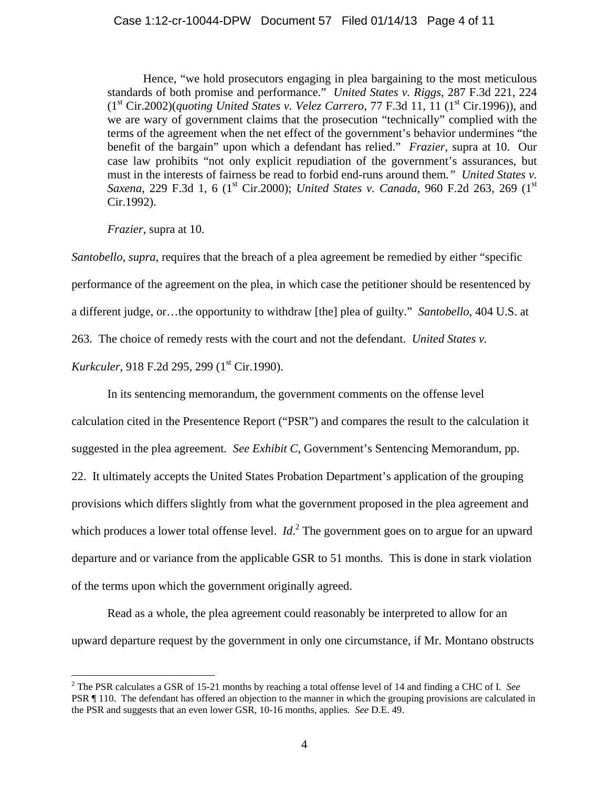Hence, "we hold prosecutors engaging in plea bargaining to the most meticulous standards of both promise and performance." *United States v. Riggs*, 287 F.3d 221, 224  $(1<sup>st</sup> Cir.2002)(quoting United States v. Velez Carrero, 77 F.3d 11, 11 (1<sup>st</sup> Cir.1996)), and$ we are wary of government claims that the prosecution "technically" complied with the terms of the agreement when the net effect of the government's behavior undermines "the benefit of the bargain" upon which a defendant has relied." *Frazier*, supra at 10. Our case law prohibits "not only explicit repudiation of the government's assurances, but must in the interests of fairness be read to forbid end-runs around them*." United States v. Saxena*, 229 F.3d 1, 6 (1<sup>st</sup> Cir.2000); *United States v. Canada*, 960 F.2d 263, 269 (1<sup>st</sup> Cir.1992).

*Frazier*, supra at 10.

*Santobello, supra*, requires that the breach of a plea agreement be remedied by either "specific performance of the agreement on the plea, in which case the petitioner should be resentenced by a different judge, or…the opportunity to withdraw [the] plea of guilty." *Santobello*, 404 U.S. at 263. The choice of remedy rests with the court and not the defendant. *United States v.* 

*Kurkculer*, 918 F.2d 295, 299 (1<sup>st</sup> Cir.1990).

 $\overline{a}$ 

In its sentencing memorandum, the government comments on the offense level

calculation cited in the Presentence Report ("PSR") and compares the result to the calculation it suggested in the plea agreement*. See Exhibit C*, Government's Sentencing Memorandum, pp. 22. It ultimately accepts the United States Probation Department's application of the grouping provisions which differs slightly from what the government proposed in the plea agreement and which produces a lower total offense level. *Id*.<sup>2</sup> The government goes on to argue for an upward departure and or variance from the applicable GSR to 51 months. This is done in stark violation of the terms upon which the government originally agreed.

 Read as a whole, the plea agreement could reasonably be interpreted to allow for an upward departure request by the government in only one circumstance, if Mr. Montano obstructs

<sup>2</sup> The PSR calculates a GSR of 15-21 months by reaching a total offense level of 14 and finding a CHC of I*. See* PSR ¶ 110. The defendant has offered an objection to the manner in which the grouping provisions are calculated in the PSR and suggests that an even lower GSR, 10-16 months, applies*. See* D.E. 49.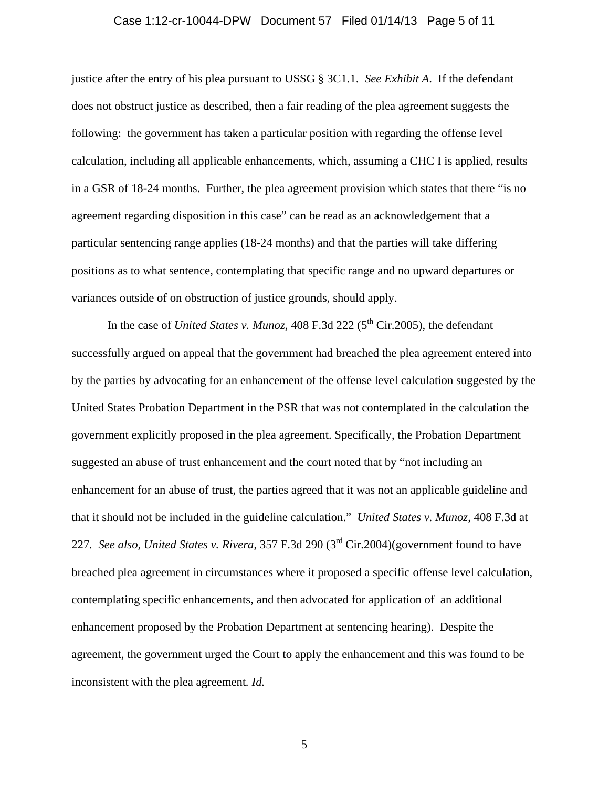#### Case 1:12-cr-10044-DPW Document 57 Filed 01/14/13 Page 5 of 11

justice after the entry of his plea pursuant to USSG § 3C1.1. *See Exhibit A*. If the defendant does not obstruct justice as described, then a fair reading of the plea agreement suggests the following: the government has taken a particular position with regarding the offense level calculation, including all applicable enhancements, which, assuming a CHC I is applied, results in a GSR of 18-24 months. Further, the plea agreement provision which states that there "is no agreement regarding disposition in this case" can be read as an acknowledgement that a particular sentencing range applies (18-24 months) and that the parties will take differing positions as to what sentence, contemplating that specific range and no upward departures or variances outside of on obstruction of justice grounds, should apply.

In the case of *United States v. Munoz*, 408 F.3d 222 ( $5<sup>th</sup>$  Cir.2005), the defendant successfully argued on appeal that the government had breached the plea agreement entered into by the parties by advocating for an enhancement of the offense level calculation suggested by the United States Probation Department in the PSR that was not contemplated in the calculation the government explicitly proposed in the plea agreement. Specifically, the Probation Department suggested an abuse of trust enhancement and the court noted that by "not including an enhancement for an abuse of trust, the parties agreed that it was not an applicable guideline and that it should not be included in the guideline calculation." *United States v. Munoz*, 408 F.3d at 227*. See also, United States v. Rivera*, 357 F.3d 290 (3rd Cir.2004)(government found to have breached plea agreement in circumstances where it proposed a specific offense level calculation, contemplating specific enhancements, and then advocated for application of an additional enhancement proposed by the Probation Department at sentencing hearing). Despite the agreement, the government urged the Court to apply the enhancement and this was found to be inconsistent with the plea agreement*. Id.*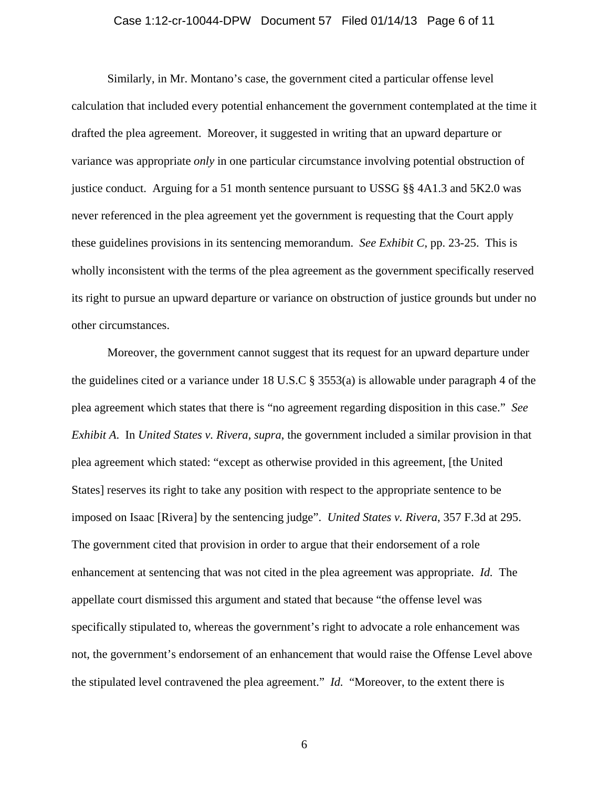#### Case 1:12-cr-10044-DPW Document 57 Filed 01/14/13 Page 6 of 11

Similarly, in Mr. Montano's case, the government cited a particular offense level calculation that included every potential enhancement the government contemplated at the time it drafted the plea agreement. Moreover, it suggested in writing that an upward departure or variance was appropriate *only* in one particular circumstance involving potential obstruction of justice conduct. Arguing for a 51 month sentence pursuant to USSG §§ 4A1.3 and 5K2.0 was never referenced in the plea agreement yet the government is requesting that the Court apply these guidelines provisions in its sentencing memorandum. *See Exhibit C*, pp. 23-25. This is wholly inconsistent with the terms of the plea agreement as the government specifically reserved its right to pursue an upward departure or variance on obstruction of justice grounds but under no other circumstances.

Moreover, the government cannot suggest that its request for an upward departure under the guidelines cited or a variance under 18 U.S.C  $\S$  3553(a) is allowable under paragraph 4 of the plea agreement which states that there is "no agreement regarding disposition in this case." *See Exhibit A*. In *United States v. Rivera, supra*, the government included a similar provision in that plea agreement which stated: "except as otherwise provided in this agreement, [the United States] reserves its right to take any position with respect to the appropriate sentence to be imposed on Isaac [Rivera] by the sentencing judge". *United States v. Rivera*, 357 F.3d at 295. The government cited that provision in order to argue that their endorsement of a role enhancement at sentencing that was not cited in the plea agreement was appropriate. *Id.* The appellate court dismissed this argument and stated that because "the offense level was specifically stipulated to, whereas the government's right to advocate a role enhancement was not, the government's endorsement of an enhancement that would raise the Offense Level above the stipulated level contravened the plea agreement." *Id.* "Moreover, to the extent there is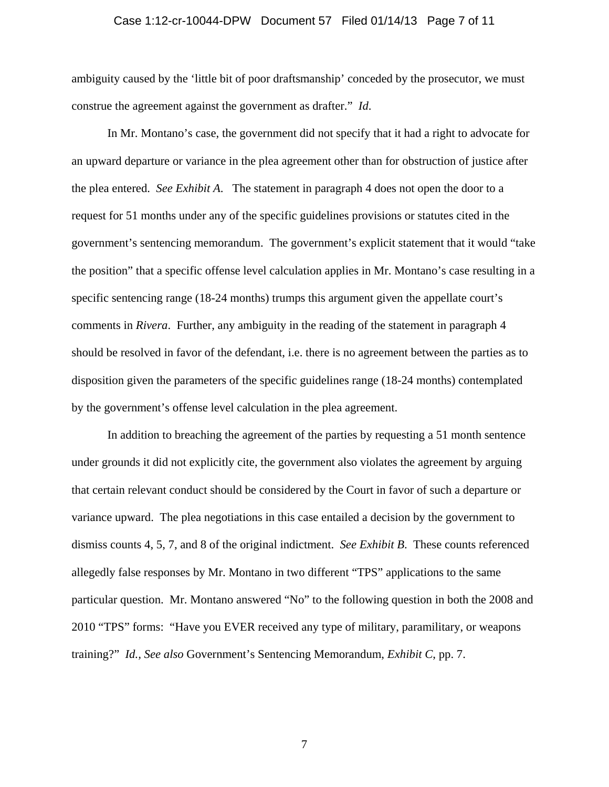#### Case 1:12-cr-10044-DPW Document 57 Filed 01/14/13 Page 7 of 11

ambiguity caused by the 'little bit of poor draftsmanship' conceded by the prosecutor, we must construe the agreement against the government as drafter." *Id*.

In Mr. Montano's case, the government did not specify that it had a right to advocate for an upward departure or variance in the plea agreement other than for obstruction of justice after the plea entered. *See Exhibit A*. The statement in paragraph 4 does not open the door to a request for 51 months under any of the specific guidelines provisions or statutes cited in the government's sentencing memorandum. The government's explicit statement that it would "take the position" that a specific offense level calculation applies in Mr. Montano's case resulting in a specific sentencing range (18-24 months) trumps this argument given the appellate court's comments in *Rivera*. Further, any ambiguity in the reading of the statement in paragraph 4 should be resolved in favor of the defendant, i.e. there is no agreement between the parties as to disposition given the parameters of the specific guidelines range (18-24 months) contemplated by the government's offense level calculation in the plea agreement.

 In addition to breaching the agreement of the parties by requesting a 51 month sentence under grounds it did not explicitly cite, the government also violates the agreement by arguing that certain relevant conduct should be considered by the Court in favor of such a departure or variance upward. The plea negotiations in this case entailed a decision by the government to dismiss counts 4, 5, 7, and 8 of the original indictment. *See Exhibit B*. These counts referenced allegedly false responses by Mr. Montano in two different "TPS" applications to the same particular question. Mr. Montano answered "No" to the following question in both the 2008 and 2010 "TPS" forms: "Have you EVER received any type of military, paramilitary, or weapons training?" *Id., See also* Government's Sentencing Memorandum, *Exhibit C*, pp. 7.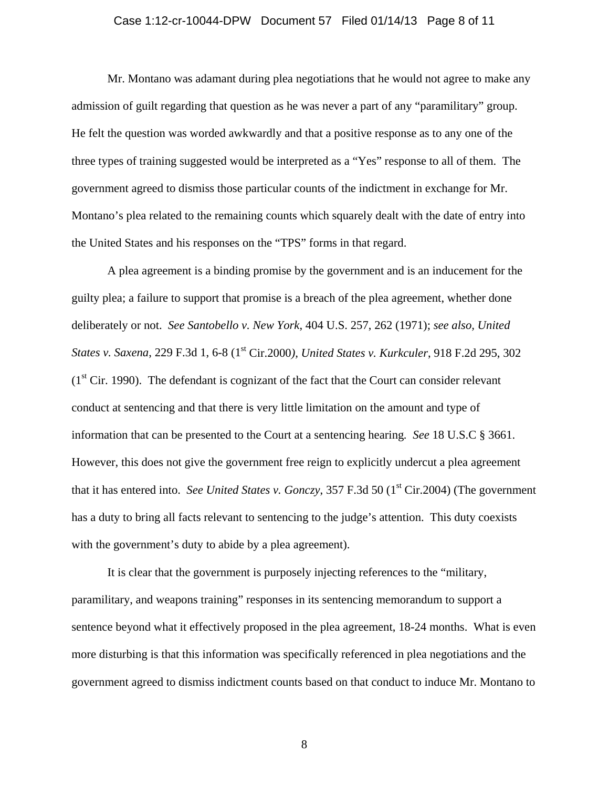#### Case 1:12-cr-10044-DPW Document 57 Filed 01/14/13 Page 8 of 11

 Mr. Montano was adamant during plea negotiations that he would not agree to make any admission of guilt regarding that question as he was never a part of any "paramilitary" group. He felt the question was worded awkwardly and that a positive response as to any one of the three types of training suggested would be interpreted as a "Yes" response to all of them. The government agreed to dismiss those particular counts of the indictment in exchange for Mr. Montano's plea related to the remaining counts which squarely dealt with the date of entry into the United States and his responses on the "TPS" forms in that regard.

 A plea agreement is a binding promise by the government and is an inducement for the guilty plea; a failure to support that promise is a breach of the plea agreement, whether done deliberately or not. *See Santobello v. New York*, 404 U.S. 257, 262 (1971); *see also, United States v. Saxena*, 229 F.3d 1, 6-8 (1st Cir.2000*), United States v. Kurkculer*, 918 F.2d 295, 302  $(1<sup>st</sup> Cir. 1990)$ . The defendant is cognizant of the fact that the Court can consider relevant conduct at sentencing and that there is very little limitation on the amount and type of information that can be presented to the Court at a sentencing hearing*. See* 18 U.S.C § 3661. However, this does not give the government free reign to explicitly undercut a plea agreement that it has entered into. *See United States v. Gonczy*, 357 F.3d 50 (1<sup>st</sup> Cir.2004) (The government has a duty to bring all facts relevant to sentencing to the judge's attention. This duty coexists with the government's duty to abide by a plea agreement).

 It is clear that the government is purposely injecting references to the "military, paramilitary, and weapons training" responses in its sentencing memorandum to support a sentence beyond what it effectively proposed in the plea agreement, 18-24 months. What is even more disturbing is that this information was specifically referenced in plea negotiations and the government agreed to dismiss indictment counts based on that conduct to induce Mr. Montano to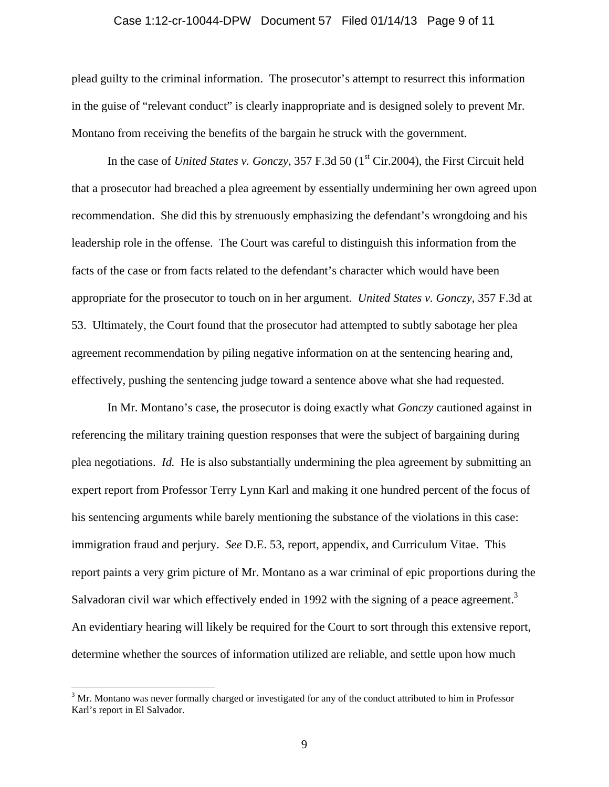#### Case 1:12-cr-10044-DPW Document 57 Filed 01/14/13 Page 9 of 11

plead guilty to the criminal information. The prosecutor's attempt to resurrect this information in the guise of "relevant conduct" is clearly inappropriate and is designed solely to prevent Mr. Montano from receiving the benefits of the bargain he struck with the government.

In the case of *United States v. Gonczy*, 357 F.3d 50 (1<sup>st</sup> Cir.2004), the First Circuit held that a prosecutor had breached a plea agreement by essentially undermining her own agreed upon recommendation. She did this by strenuously emphasizing the defendant's wrongdoing and his leadership role in the offense. The Court was careful to distinguish this information from the facts of the case or from facts related to the defendant's character which would have been appropriate for the prosecutor to touch on in her argument. *United States v. Gonczy*, 357 F.3d at 53. Ultimately, the Court found that the prosecutor had attempted to subtly sabotage her plea agreement recommendation by piling negative information on at the sentencing hearing and, effectively, pushing the sentencing judge toward a sentence above what she had requested.

 In Mr. Montano's case, the prosecutor is doing exactly what *Gonczy* cautioned against in referencing the military training question responses that were the subject of bargaining during plea negotiations. *Id.* He is also substantially undermining the plea agreement by submitting an expert report from Professor Terry Lynn Karl and making it one hundred percent of the focus of his sentencing arguments while barely mentioning the substance of the violations in this case: immigration fraud and perjury. *See* D.E. 53, report, appendix, and Curriculum Vitae. This report paints a very grim picture of Mr. Montano as a war criminal of epic proportions during the Salvadoran civil war which effectively ended in 1992 with the signing of a peace agreement.<sup>3</sup> An evidentiary hearing will likely be required for the Court to sort through this extensive report, determine whether the sources of information utilized are reliable, and settle upon how much

 $3$  Mr. Montano was never formally charged or investigated for any of the conduct attributed to him in Professor Karl's report in El Salvador.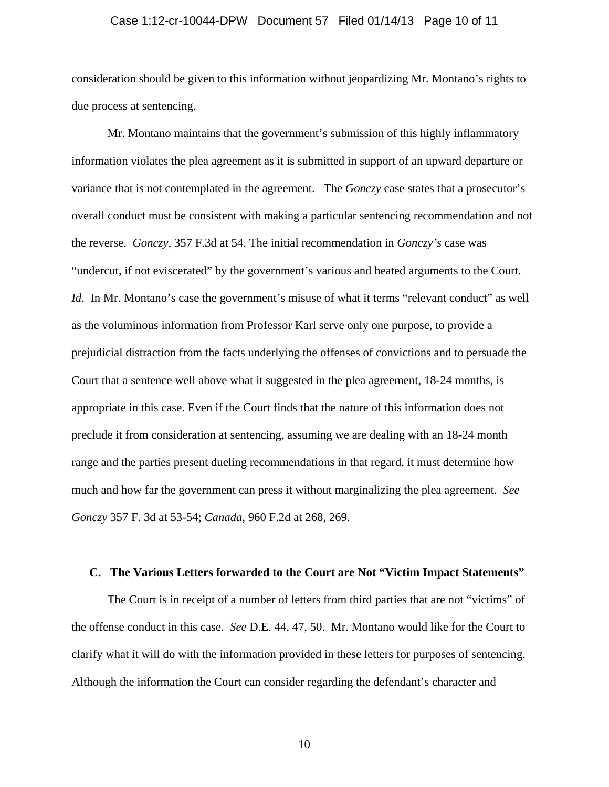#### Case 1:12-cr-10044-DPW Document 57 Filed 01/14/13 Page 10 of 11

consideration should be given to this information without jeopardizing Mr. Montano's rights to due process at sentencing.

 Mr. Montano maintains that the government's submission of this highly inflammatory information violates the plea agreement as it is submitted in support of an upward departure or variance that is not contemplated in the agreement. The *Gonczy* case states that a prosecutor's overall conduct must be consistent with making a particular sentencing recommendation and not the reverse. *Gonczy*, 357 F.3d at 54. The initial recommendation in *Gonczy's* case was "undercut, if not eviscerated" by the government's various and heated arguments to the Court. *Id.* In Mr. Montano's case the government's misuse of what it terms "relevant conduct" as well as the voluminous information from Professor Karl serve only one purpose, to provide a prejudicial distraction from the facts underlying the offenses of convictions and to persuade the Court that a sentence well above what it suggested in the plea agreement, 18-24 months, is appropriate in this case. Even if the Court finds that the nature of this information does not preclude it from consideration at sentencing, assuming we are dealing with an 18-24 month range and the parties present dueling recommendations in that regard, it must determine how much and how far the government can press it without marginalizing the plea agreement. *See Gonczy* 357 F. 3d at 53-54; *Canada*, 960 F.2d at 268, 269.

### **C. The Various Letters forwarded to the Court are Not "Victim Impact Statements"**

The Court is in receipt of a number of letters from third parties that are not "victims" of the offense conduct in this case. *See* D.E. 44, 47, 50. Mr. Montano would like for the Court to clarify what it will do with the information provided in these letters for purposes of sentencing. Although the information the Court can consider regarding the defendant's character and